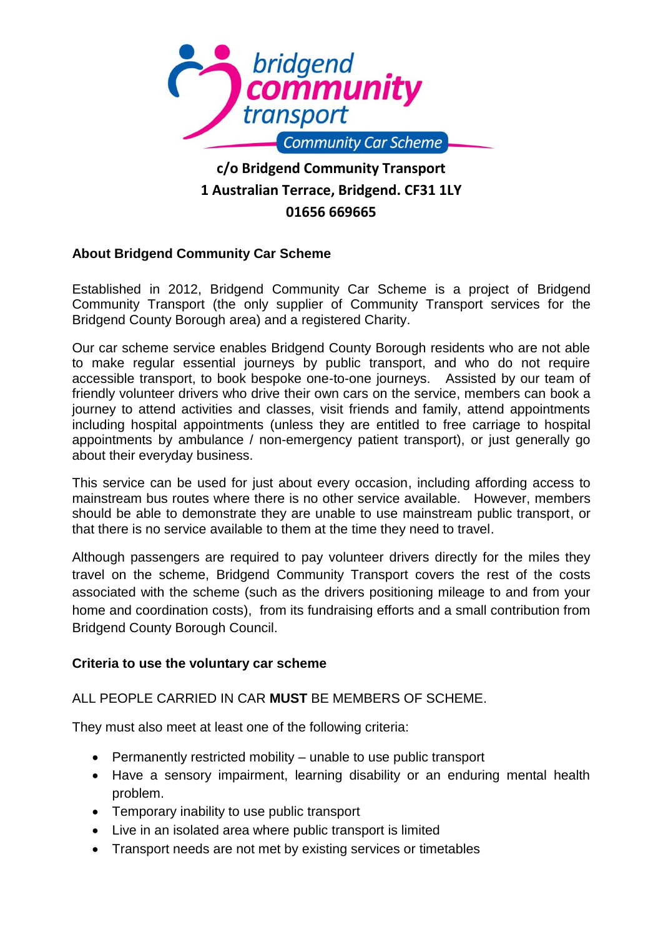

# **1 Australian Terrace, Bridgend. CF31 1LY 01656 669665**

# **About Bridgend Community Car Scheme**

Established in 2012, Bridgend Community Car Scheme is a project of Bridgend Community Transport (the only supplier of Community Transport services for the Bridgend County Borough area) and a registered Charity.

Our car scheme service enables Bridgend County Borough residents who are not able to make regular essential journeys by public transport, and who do not require accessible transport, to book bespoke one-to-one journeys. Assisted by our team of friendly volunteer drivers who drive their own cars on the service, members can book a journey to attend activities and classes, visit friends and family, attend appointments including hospital appointments (unless they are entitled to free carriage to hospital appointments by ambulance / non-emergency patient transport), or just generally go about their everyday business.

This service can be used for just about every occasion, including affording access to mainstream bus routes where there is no other service available. However, members should be able to demonstrate they are unable to use mainstream public transport, or that there is no service available to them at the time they need to travel.

Although passengers are required to pay volunteer drivers directly for the miles they travel on the scheme, Bridgend Community Transport covers the rest of the costs associated with the scheme (such as the drivers positioning mileage to and from your home and coordination costs), from its fundraising efforts and a small contribution from Bridgend County Borough Council.

#### **Criteria to use the voluntary car scheme**

# ALL PEOPLE CARRIED IN CAR **MUST** BE MEMBERS OF SCHEME.

They must also meet at least one of the following criteria:

- Permanently restricted mobility unable to use public transport
- Have a sensory impairment, learning disability or an enduring mental health problem.
- Temporary inability to use public transport
- Live in an isolated area where public transport is limited
- Transport needs are not met by existing services or timetables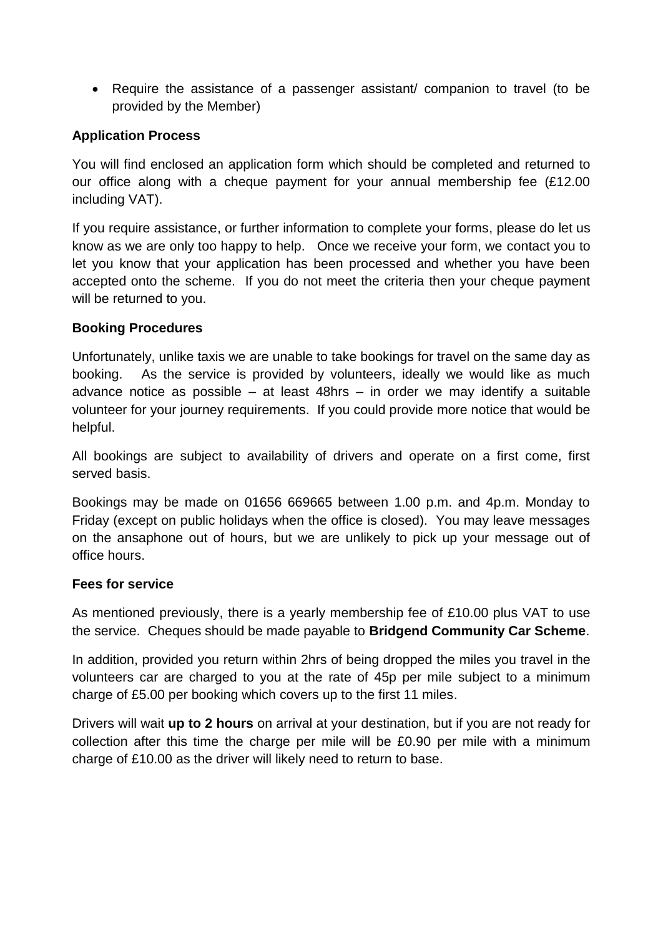• Require the assistance of a passenger assistant/ companion to travel (to be provided by the Member)

# **Application Process**

You will find enclosed an application form which should be completed and returned to our office along with a cheque payment for your annual membership fee (£12.00 including VAT).

If you require assistance, or further information to complete your forms, please do let us know as we are only too happy to help. Once we receive your form, we contact you to let you know that your application has been processed and whether you have been accepted onto the scheme. If you do not meet the criteria then your cheque payment will be returned to you.

### **Booking Procedures**

Unfortunately, unlike taxis we are unable to take bookings for travel on the same day as booking. As the service is provided by volunteers, ideally we would like as much advance notice as possible – at least 48hrs – in order we may identify a suitable volunteer for your journey requirements. If you could provide more notice that would be helpful.

All bookings are subject to availability of drivers and operate on a first come, first served basis.

Bookings may be made on 01656 669665 between 1.00 p.m. and 4p.m. Monday to Friday (except on public holidays when the office is closed). You may leave messages on the ansaphone out of hours, but we are unlikely to pick up your message out of office hours.

# **Fees for service**

As mentioned previously, there is a yearly membership fee of £10.00 plus VAT to use the service. Cheques should be made payable to **Bridgend Community Car Scheme**.

In addition, provided you return within 2hrs of being dropped the miles you travel in the volunteers car are charged to you at the rate of 45p per mile subject to a minimum charge of £5.00 per booking which covers up to the first 11 miles.

Drivers will wait **up to 2 hours** on arrival at your destination, but if you are not ready for collection after this time the charge per mile will be £0.90 per mile with a minimum charge of £10.00 as the driver will likely need to return to base.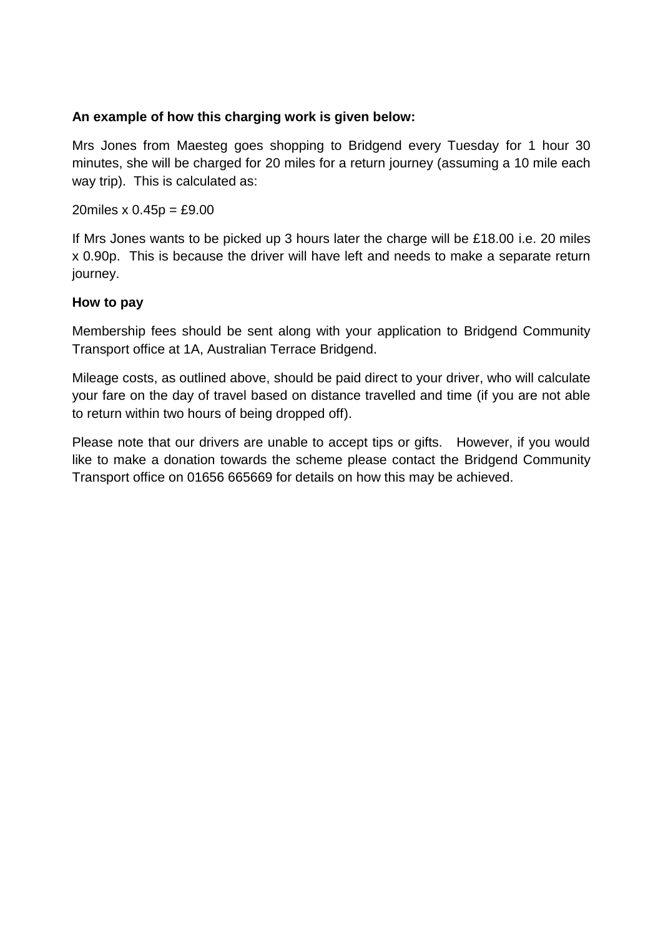## **An example of how this charging work is given below:**

Mrs Jones from Maesteg goes shopping to Bridgend every Tuesday for 1 hour 30 minutes, she will be charged for 20 miles for a return journey (assuming a 10 mile each way trip). This is calculated as:

20miles  $x 0.45p = £9.00$ 

If Mrs Jones wants to be picked up 3 hours later the charge will be £18.00 i.e. 20 miles x 0.90p. This is because the driver will have left and needs to make a separate return journey.

### **How to pay**

Membership fees should be sent along with your application to Bridgend Community Transport office at 1A, Australian Terrace Bridgend.

Mileage costs, as outlined above, should be paid direct to your driver, who will calculate your fare on the day of travel based on distance travelled and time (if you are not able to return within two hours of being dropped off).

Please note that our drivers are unable to accept tips or gifts. However, if you would like to make a donation towards the scheme please contact the Bridgend Community Transport office on 01656 665669 for details on how this may be achieved.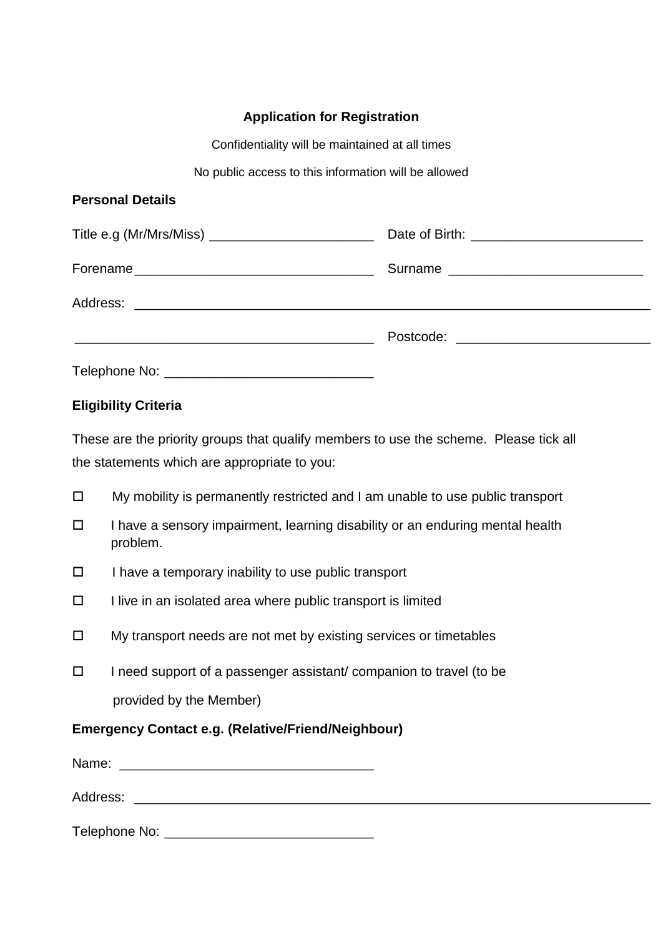# **Application for Registration**

Confidentiality will be maintained at all times

No public access to this information will be allowed

## **Personal Details**

| Title e.g (Mr/Mrs/Miss) ___________________________ |  |
|-----------------------------------------------------|--|
|                                                     |  |
|                                                     |  |
|                                                     |  |
|                                                     |  |

# **Eligibility Criteria**

These are the priority groups that qualify members to use the scheme. Please tick all the statements which are appropriate to you:

- $\Box$  My mobility is permanently restricted and I am unable to use public transport
- $\Box$  I have a sensory impairment, learning disability or an enduring mental health problem.
- $\Box$  I have a temporary inability to use public transport
- $\Box$  I live in an isolated area where public transport is limited
- $\Box$  My transport needs are not met by existing services or timetables
- $\Box$  I need support of a passenger assistant/ companion to travel (to be provided by the Member)

# **Emergency Contact e.g. (Relative/Friend/Neighbour)**

| Name:         |  |  |
|---------------|--|--|
| Address:      |  |  |
| Telephone No: |  |  |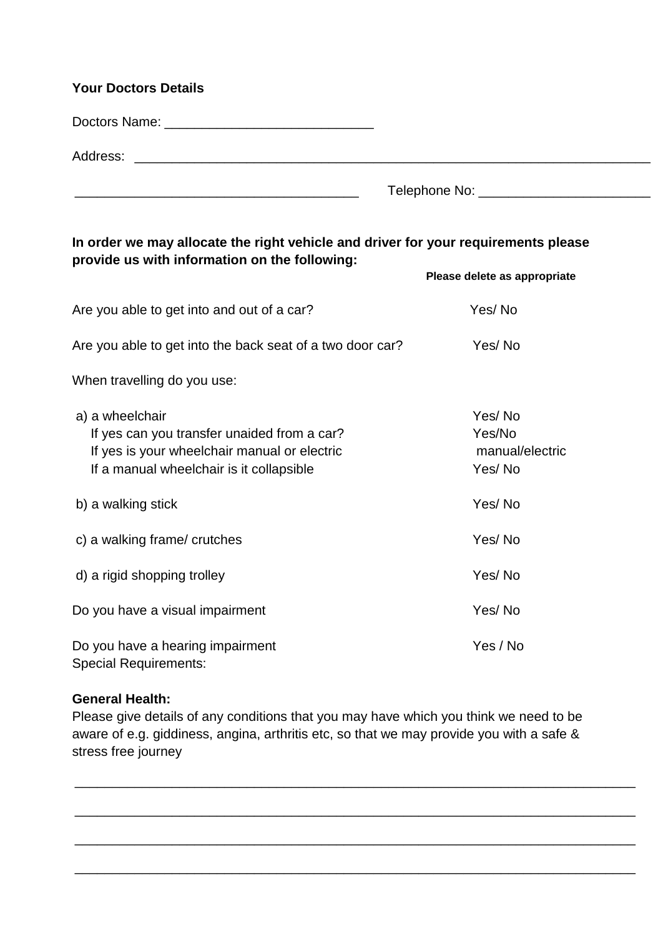| <b>Your Doctors Details</b>                                                                                                      |                             |  |
|----------------------------------------------------------------------------------------------------------------------------------|-----------------------------|--|
|                                                                                                                                  |                             |  |
| Address:<br><u> 2000 - 2000 - 2000 - 2000 - 2000 - 2000 - 2000 - 2000 - 2000 - 2000 - 2000 - 2000 - 2000 - 2000 - 2000 - 200</u> |                             |  |
|                                                                                                                                  | Telephone No: _____________ |  |

# **In order we may allocate the right vehicle and driver for your requirements please provide us with information on the following:**

|                                                                                                                                                            | Please delete as appropriate                  |
|------------------------------------------------------------------------------------------------------------------------------------------------------------|-----------------------------------------------|
| Are you able to get into and out of a car?                                                                                                                 | Yes/No                                        |
| Are you able to get into the back seat of a two door car?                                                                                                  | Yes/No                                        |
| When travelling do you use:                                                                                                                                |                                               |
| a) a wheelchair<br>If yes can you transfer unaided from a car?<br>If yes is your wheelchair manual or electric<br>If a manual wheelchair is it collapsible | Yes/No<br>Yes/No<br>manual/electric<br>Yes/No |
| b) a walking stick                                                                                                                                         | Yes/No                                        |
| c) a walking frame/ crutches                                                                                                                               | Yes/No                                        |
| d) a rigid shopping trolley                                                                                                                                | Yes/No                                        |
| Do you have a visual impairment                                                                                                                            | Yes/No                                        |
| Do you have a hearing impairment<br><b>Special Requirements:</b>                                                                                           | Yes / No                                      |

#### **General Health:**

Please give details of any conditions that you may have which you think we need to be aware of e.g. giddiness, angina, arthritis etc, so that we may provide you with a safe & stress free journey

\_\_\_\_\_\_\_\_\_\_\_\_\_\_\_\_\_\_\_\_\_\_\_\_\_\_\_\_\_\_\_\_\_\_\_\_\_\_\_\_\_\_\_\_\_\_\_\_\_\_\_\_\_\_\_\_\_\_\_\_\_\_\_\_\_\_\_\_\_\_\_\_\_\_\_

\_\_\_\_\_\_\_\_\_\_\_\_\_\_\_\_\_\_\_\_\_\_\_\_\_\_\_\_\_\_\_\_\_\_\_\_\_\_\_\_\_\_\_\_\_\_\_\_\_\_\_\_\_\_\_\_\_\_\_\_\_\_\_\_\_\_\_\_\_\_\_\_\_\_\_

\_\_\_\_\_\_\_\_\_\_\_\_\_\_\_\_\_\_\_\_\_\_\_\_\_\_\_\_\_\_\_\_\_\_\_\_\_\_\_\_\_\_\_\_\_\_\_\_\_\_\_\_\_\_\_\_\_\_\_\_\_\_\_\_\_\_\_\_\_\_\_\_\_\_\_

\_\_\_\_\_\_\_\_\_\_\_\_\_\_\_\_\_\_\_\_\_\_\_\_\_\_\_\_\_\_\_\_\_\_\_\_\_\_\_\_\_\_\_\_\_\_\_\_\_\_\_\_\_\_\_\_\_\_\_\_\_\_\_\_\_\_\_\_\_\_\_\_\_\_\_